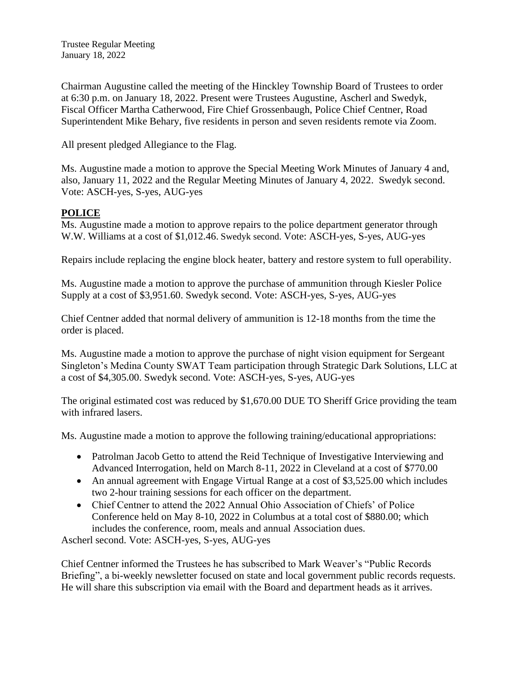Chairman Augustine called the meeting of the Hinckley Township Board of Trustees to order at 6:30 p.m. on January 18, 2022. Present were Trustees Augustine, Ascherl and Swedyk, Fiscal Officer Martha Catherwood, Fire Chief Grossenbaugh, Police Chief Centner, Road Superintendent Mike Behary, five residents in person and seven residents remote via Zoom.

All present pledged Allegiance to the Flag.

Ms. Augustine made a motion to approve the Special Meeting Work Minutes of January 4 and, also, January 11, 2022 and the Regular Meeting Minutes of January 4, 2022. Swedyk second. Vote: ASCH-yes, S-yes, AUG-yes

# **POLICE**

Ms. Augustine made a motion to approve repairs to the police department generator through W.W. Williams at a cost of \$1,012.46. Swedyk second. Vote: ASCH-yes, S-yes, AUG-yes

Repairs include replacing the engine block heater, battery and restore system to full operability.

Ms. Augustine made a motion to approve the purchase of ammunition through Kiesler Police Supply at a cost of \$3,951.60. Swedyk second. Vote: ASCH-yes, S-yes, AUG-yes

Chief Centner added that normal delivery of ammunition is 12-18 months from the time the order is placed.

Ms. Augustine made a motion to approve the purchase of night vision equipment for Sergeant Singleton's Medina County SWAT Team participation through Strategic Dark Solutions, LLC at a cost of \$4,305.00. Swedyk second. Vote: ASCH-yes, S-yes, AUG-yes

The original estimated cost was reduced by \$1,670.00 DUE TO Sheriff Grice providing the team with infrared lasers.

Ms. Augustine made a motion to approve the following training/educational appropriations:

- Patrolman Jacob Getto to attend the Reid Technique of Investigative Interviewing and Advanced Interrogation, held on March 8-11, 2022 in Cleveland at a cost of \$770.00
- An annual agreement with Engage Virtual Range at a cost of \$3,525.00 which includes two 2-hour training sessions for each officer on the department.
- Chief Centner to attend the 2022 Annual Ohio Association of Chiefs' of Police Conference held on May 8-10, 2022 in Columbus at a total cost of \$880.00; which includes the conference, room, meals and annual Association dues.

Ascherl second. Vote: ASCH-yes, S-yes, AUG-yes

Chief Centner informed the Trustees he has subscribed to Mark Weaver's "Public Records Briefing", a bi-weekly newsletter focused on state and local government public records requests. He will share this subscription via email with the Board and department heads as it arrives.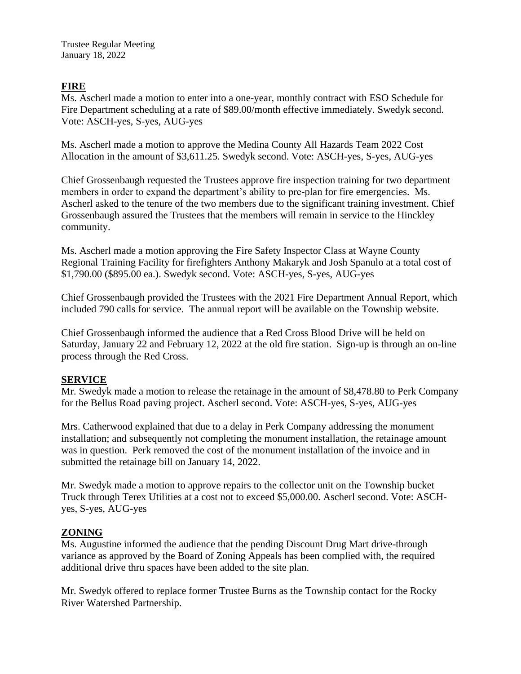Trustee Regular Meeting January 18, 2022

### **FIRE**

Ms. Ascherl made a motion to enter into a one-year, monthly contract with ESO Schedule for Fire Department scheduling at a rate of \$89.00/month effective immediately. Swedyk second. Vote: ASCH-yes, S-yes, AUG-yes

Ms. Ascherl made a motion to approve the Medina County All Hazards Team 2022 Cost Allocation in the amount of \$3,611.25. Swedyk second. Vote: ASCH-yes, S-yes, AUG-yes

Chief Grossenbaugh requested the Trustees approve fire inspection training for two department members in order to expand the department's ability to pre-plan for fire emergencies. Ms. Ascherl asked to the tenure of the two members due to the significant training investment. Chief Grossenbaugh assured the Trustees that the members will remain in service to the Hinckley community.

Ms. Ascherl made a motion approving the Fire Safety Inspector Class at Wayne County Regional Training Facility for firefighters Anthony Makaryk and Josh Spanulo at a total cost of \$1,790.00 (\$895.00 ea.). Swedyk second. Vote: ASCH-yes, S-yes, AUG-yes

Chief Grossenbaugh provided the Trustees with the 2021 Fire Department Annual Report, which included 790 calls for service. The annual report will be available on the Township website.

Chief Grossenbaugh informed the audience that a Red Cross Blood Drive will be held on Saturday, January 22 and February 12, 2022 at the old fire station. Sign-up is through an on-line process through the Red Cross.

#### **SERVICE**

Mr. Swedyk made a motion to release the retainage in the amount of \$8,478.80 to Perk Company for the Bellus Road paving project. Ascherl second. Vote: ASCH-yes, S-yes, AUG-yes

Mrs. Catherwood explained that due to a delay in Perk Company addressing the monument installation; and subsequently not completing the monument installation, the retainage amount was in question. Perk removed the cost of the monument installation of the invoice and in submitted the retainage bill on January 14, 2022.

Mr. Swedyk made a motion to approve repairs to the collector unit on the Township bucket Truck through Terex Utilities at a cost not to exceed \$5,000.00. Ascherl second. Vote: ASCHyes, S-yes, AUG-yes

#### **ZONING**

Ms. Augustine informed the audience that the pending Discount Drug Mart drive-through variance as approved by the Board of Zoning Appeals has been complied with, the required additional drive thru spaces have been added to the site plan.

Mr. Swedyk offered to replace former Trustee Burns as the Township contact for the Rocky River Watershed Partnership.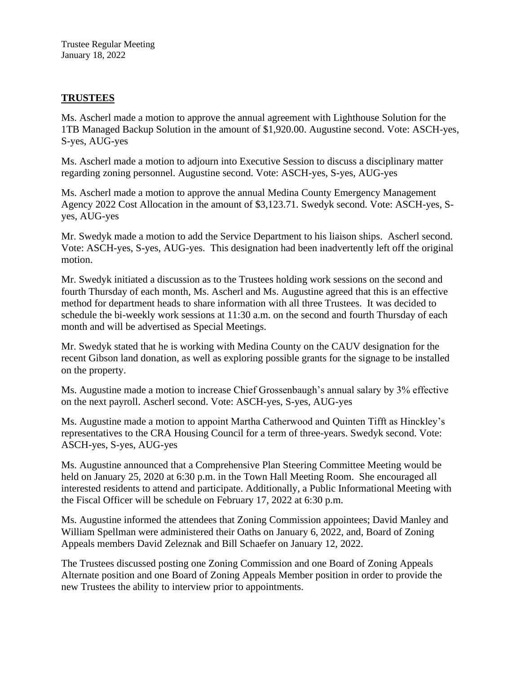Trustee Regular Meeting January 18, 2022

### **TRUSTEES**

Ms. Ascherl made a motion to approve the annual agreement with Lighthouse Solution for the 1TB Managed Backup Solution in the amount of \$1,920.00. Augustine second. Vote: ASCH-yes, S-yes, AUG-yes

Ms. Ascherl made a motion to adjourn into Executive Session to discuss a disciplinary matter regarding zoning personnel. Augustine second. Vote: ASCH-yes, S-yes, AUG-yes

Ms. Ascherl made a motion to approve the annual Medina County Emergency Management Agency 2022 Cost Allocation in the amount of \$3,123.71. Swedyk second. Vote: ASCH-yes, Syes, AUG-yes

Mr. Swedyk made a motion to add the Service Department to his liaison ships. Ascherl second. Vote: ASCH-yes, S-yes, AUG-yes. This designation had been inadvertently left off the original motion.

Mr. Swedyk initiated a discussion as to the Trustees holding work sessions on the second and fourth Thursday of each month, Ms. Ascherl and Ms. Augustine agreed that this is an effective method for department heads to share information with all three Trustees. It was decided to schedule the bi-weekly work sessions at 11:30 a.m. on the second and fourth Thursday of each month and will be advertised as Special Meetings.

Mr. Swedyk stated that he is working with Medina County on the CAUV designation for the recent Gibson land donation, as well as exploring possible grants for the signage to be installed on the property.

Ms. Augustine made a motion to increase Chief Grossenbaugh's annual salary by 3% effective on the next payroll. Ascherl second. Vote: ASCH-yes, S-yes, AUG-yes

Ms. Augustine made a motion to appoint Martha Catherwood and Quinten Tifft as Hinckley's representatives to the CRA Housing Council for a term of three-years. Swedyk second. Vote: ASCH-yes, S-yes, AUG-yes

Ms. Augustine announced that a Comprehensive Plan Steering Committee Meeting would be held on January 25, 2020 at 6:30 p.m. in the Town Hall Meeting Room. She encouraged all interested residents to attend and participate. Additionally, a Public Informational Meeting with the Fiscal Officer will be schedule on February 17, 2022 at 6:30 p.m.

Ms. Augustine informed the attendees that Zoning Commission appointees; David Manley and William Spellman were administered their Oaths on January 6, 2022, and, Board of Zoning Appeals members David Zeleznak and Bill Schaefer on January 12, 2022.

The Trustees discussed posting one Zoning Commission and one Board of Zoning Appeals Alternate position and one Board of Zoning Appeals Member position in order to provide the new Trustees the ability to interview prior to appointments.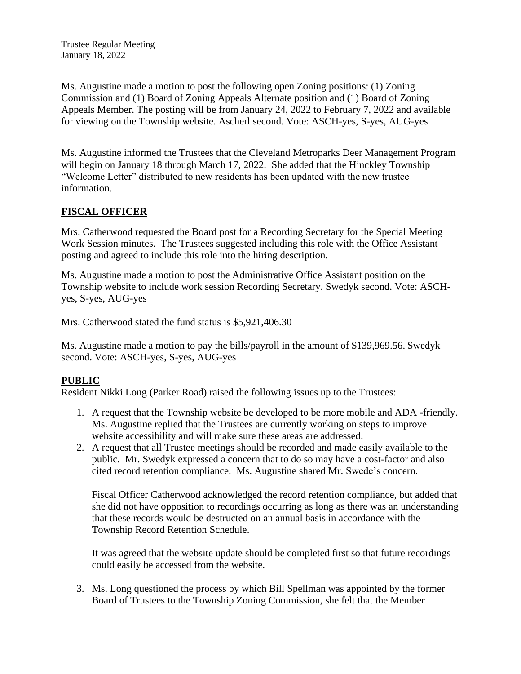Trustee Regular Meeting January 18, 2022

Ms. Augustine made a motion to post the following open Zoning positions: (1) Zoning Commission and (1) Board of Zoning Appeals Alternate position and (1) Board of Zoning Appeals Member. The posting will be from January 24, 2022 to February 7, 2022 and available for viewing on the Township website. Ascherl second. Vote: ASCH-yes, S-yes, AUG-yes

Ms. Augustine informed the Trustees that the Cleveland Metroparks Deer Management Program will begin on January 18 through March 17, 2022. She added that the Hinckley Township "Welcome Letter" distributed to new residents has been updated with the new trustee information.

# **FISCAL OFFICER**

Mrs. Catherwood requested the Board post for a Recording Secretary for the Special Meeting Work Session minutes. The Trustees suggested including this role with the Office Assistant posting and agreed to include this role into the hiring description.

Ms. Augustine made a motion to post the Administrative Office Assistant position on the Township website to include work session Recording Secretary. Swedyk second. Vote: ASCHyes, S-yes, AUG-yes

Mrs. Catherwood stated the fund status is \$5,921,406.30

Ms. Augustine made a motion to pay the bills/payroll in the amount of \$139,969.56. Swedyk second. Vote: ASCH-yes, S-yes, AUG-yes

# **PUBLIC**

Resident Nikki Long (Parker Road) raised the following issues up to the Trustees:

- 1. A request that the Township website be developed to be more mobile and ADA -friendly. Ms. Augustine replied that the Trustees are currently working on steps to improve website accessibility and will make sure these areas are addressed.
- 2. A request that all Trustee meetings should be recorded and made easily available to the public. Mr. Swedyk expressed a concern that to do so may have a cost-factor and also cited record retention compliance. Ms. Augustine shared Mr. Swede's concern.

Fiscal Officer Catherwood acknowledged the record retention compliance, but added that she did not have opposition to recordings occurring as long as there was an understanding that these records would be destructed on an annual basis in accordance with the Township Record Retention Schedule.

It was agreed that the website update should be completed first so that future recordings could easily be accessed from the website.

3. Ms. Long questioned the process by which Bill Spellman was appointed by the former Board of Trustees to the Township Zoning Commission, she felt that the Member